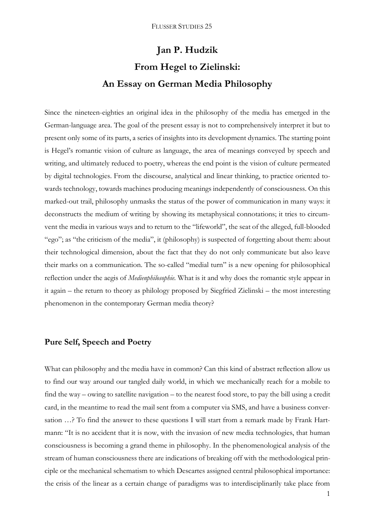# **Jan P. Hudzik From Hegel to Zielinski: An Essay on German Media Philosophy**

Since the nineteen-eighties an original idea in the philosophy of the media has emerged in the German-language area. The goal of the present essay is not to comprehensively interpret it but to present only some of its parts, a series of insights into its development dynamics. The starting point is Hegel's romantic vision of culture as language, the area of meanings conveyed by speech and writing, and ultimately reduced to poetry, whereas the end point is the vision of culture permeated by digital technologies. From the discourse, analytical and linear thinking, to practice oriented towards technology, towards machines producing meanings independently of consciousness. On this marked-out trail, philosophy unmasks the status of the power of communication in many ways: it deconstructs the medium of writing by showing its metaphysical connotations; it tries to circumvent the media in various ways and to return to the "lifeworld", the seat of the alleged, full-blooded "ego"; as "the criticism of the media", it (philosophy) is suspected of forgetting about them: about their technological dimension, about the fact that they do not only communicate but also leave their marks on a communication. The so-called "medial turn" is a new opening for philosophical reflection under the aegis of *Medienphilosophie.* What is it and why does the romantic style appear in it again – the return to theory as philology proposed by Siegfried Zielinski – the most interesting phenomenon in the contemporary German media theory?

# **Pure Self, Speech and Poetry**

What can philosophy and the media have in common? Can this kind of abstract reflection allow us to find our way around our tangled daily world, in which we mechanically reach for a mobile to find the way – owing to satellite navigation – to the nearest food store, to pay the bill using a credit card, in the meantime to read the mail sent from a computer via SMS, and have a business conversation ...? To find the answer to these questions I will start from a remark made by Frank Hartmann: "It is no accident that it is now, with the invasion of new media technologies, that human consciousness is becoming a grand theme in philosophy. In the phenomenological analysis of the stream of human consciousness there are indications of breaking off with the methodological principle or the mechanical schematism to which Descartes assigned central philosophical importance: the crisis of the linear as a certain change of paradigms was to interdisciplinarily take place from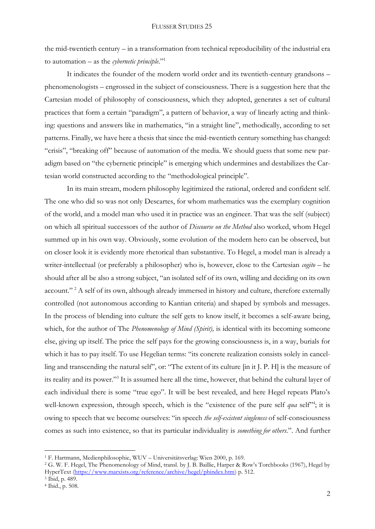the mid-twentieth century – in a transformation from technical reproducibility of the industrial era to automation – as the *cybernetic principle*."<sup>1</sup>

It indicates the founder of the modern world order and its twentieth-century grandsons – phenomenologists – engrossed in the subject of consciousness. There is a suggestion here that the Cartesian model of philosophy of consciousness, which they adopted, generates a set of cultural practices that form a certain "paradigm", a pattern of behavior, a way of linearly acting and thinking: questions and answers like in mathematics, "in a straight line", methodically, according to set patterns. Finally, we have here a thesis that since the mid-twentieth century something has changed: "crisis", "breaking off" because of automation of the media. We should guess that some new paradigm based on "the cybernetic principle" is emerging which undermines and destabilizes the Cartesian world constructed according to the "methodological principle".

In its main stream, modern philosophy legitimized the rational, ordered and confident self. The one who did so was not only Descartes, for whom mathematics was the exemplary cognition of the world, and a model man who used it in practice was an engineer. That was the self (subject) on which all spiritual successors of the author of *Discourse on the Method* also worked, whom Hegel summed up in his own way. Obviously, some evolution of the modern hero can be observed, but on closer look it is evidently more rhetorical than substantive. To Hegel, a model man is already a writer-intellectual (or preferably a philosopher) who is, however, close to the Cartesian *cogito* – he should after all be also a strong subject, "an isolated self of its own, willing and deciding on its own account."<sup>2</sup> A self of its own, although already immersed in history and culture, therefore externally controlled (not autonomous according to Kantian criteria) and shaped by symbols and messages. In the process of blending into culture the self gets to know itself, it becomes a self-aware being, which, for the author of The *Phenomenology of Mind (Spirit),* is identical with its becoming someone else, giving up itself. The price the self pays for the growing consciousness is, in a way, burials for which it has to pay itself. To use Hegelian terms: "its concrete realization consists solely in cancelling and transcending the natural self", or: "The extent of its culture [in it J. P. H] is the measure of its reality and its power."<sup>3</sup> It is assumed here all the time, however, that behind the cultural layer of each individual there is some "true ego". It will be best revealed, and here Hegel repeats Plato's well-known expression, through speech, which is the "existence of the pure self *qua* self"<sup>4</sup>; it is owing to speech that we become ourselves: "in speech *the self-existent singleness* of self-consciousness comes as such into existence, so that its particular individuality is *something for others*.". And further

<sup>1</sup> F. Hartmann, Medienphilosophie, WUV – Universitätsverlag: Wien 2000, p. 169.

<sup>&</sup>lt;sup>2</sup> G. W. F. Hegel, The Phenomenology of Mind, transl. by J. B. Baillie, Harper & Row's Torchbooks (1967), Hegel by HyperText [\(https://www.marxists.org/reference/archive/hegel/phindex.htm\)](https://www.marxists.org/reference/archive/hegel/phindex.htm) p. 512.

<sup>3</sup> Ibid, p. 489.

<sup>4</sup> Ibid., p. 508.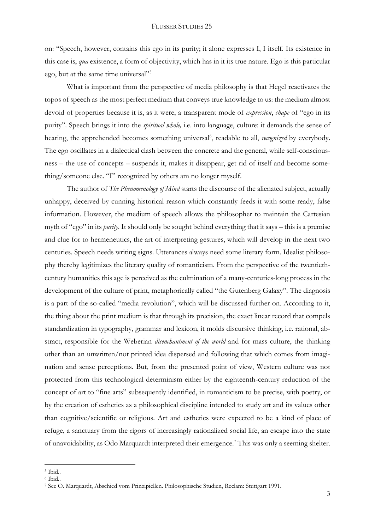on: "Speech, however, contains this ego in its purity; it alone expresses I, I itself. Its existence in this case is, *qua* existence, a form of objectivity, which has in it its true nature. Ego is this particular ego, but at the same time universal"<sup>5</sup>

What is important from the perspective of media philosophy is that Hegel reactivates the topos of speech as the most perfect medium that conveys true knowledge to us: the medium almost devoid of properties because it is, as it were, a transparent mode of *expression*, *shape* of "ego in its purity". Speech brings it into the *spiritual whole,* i.e. into language, culture: it demands the sense of hearing, the apprehended becomes something universal<sup>6</sup>, readable to all, *recognized* by everybody. The ego oscillates in a dialectical clash between the concrete and the general, while self-consciousness – the use of concepts – suspends it, makes it disappear, get rid of itself and become something/someone else. "I" recognized by others am no longer myself.

The author of *The Phenomenology of Mind* starts the discourse of the alienated subject, actually unhappy, deceived by cunning historical reason which constantly feeds it with some ready, false information. However, the medium of speech allows the philosopher to maintain the Cartesian myth of "ego" in its *purity*. It should only be sought behind everything that it says – this is a premise and clue for to hermeneutics, the art of interpreting gestures, which will develop in the next two centuries. Speech needs writing signs. Utterances always need some literary form. Idealist philosophy thereby legitimizes the literary quality of romanticism. From the perspective of the twentiethcentury humanities this age is perceived as the culmination of a many-centuries-long process in the development of the culture of print, metaphorically called "the Gutenberg Galaxy". The diagnosis is a part of the so-called "media revolution", which will be discussed further on. According to it, the thing about the print medium is that through its precision, the exact linear record that compels standardization in typography, grammar and lexicon, it molds discursive thinking, i.e. rational, abstract, responsible for the Weberian *disenchantment of the world* and for mass culture, the thinking other than an unwritten/not printed idea dispersed and following that which comes from imagination and sense perceptions. But, from the presented point of view, Western culture was not protected from this technological determinism either by the eighteenth-century reduction of the concept of art to "fine arts" subsequently identified, in romanticism to be precise, with poetry, or by the creation of esthetics as a philosophical discipline intended to study art and its values other than cognitive/scientific or religious. Art and esthetics were expected to be a kind of place of refuge, a sanctuary from the rigors of increasingly rationalized social life, an escape into the state of unavoidability, as Odo Marquardt interpreted their emergence.<sup>7</sup> This was only a seeming shelter.

<sup>5</sup> Ibid..

<sup>6</sup> Ibid..

<sup>7</sup> See O. Marquardt, Abschied vom Prinzipiellen. Philosophische Studien, Reclam: Stuttgart 1991.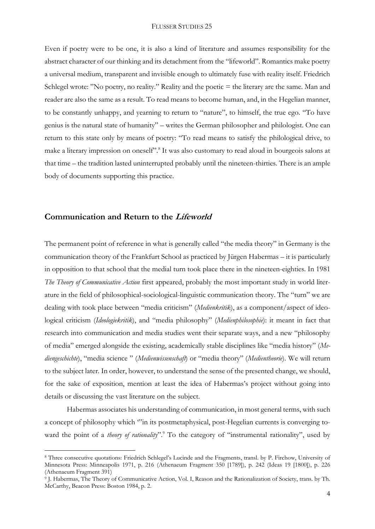Even if poetry were to be one, it is also a kind of literature and assumes responsibility for the abstract character of our thinking and its detachment from the "lifeworld". Romantics make poetry a universal medium, transparent and invisible enough to ultimately fuse with reality itself. Friedrich Schlegel wrote: "No poetry, no reality." Reality and the poetic = the literary are the same. Man and reader are also the same as a result. To read means to become human, and, in the Hegelian manner, to be constantly unhappy, and yearning to return to "nature", to himself, the true ego. "To have genius is the natural state of humanity" – writes the German philosopher and philologist. One can return to this state only by means of poetry: "To read means to satisfy the philological drive, to make a literary impression on oneself".<sup>8</sup> It was also customary to read aloud in bourgeois salons at that time – the tradition lasted uninterrupted probably until the nineteen-thirties. There is an ample body of documents supporting this practice.

# **Communication and Return to the Lifeworld**

<u>.</u>

The permanent point of reference in what is generally called "the media theory" in Germany is the communication theory of the Frankfurt School as practiced by Jürgen Habermas – it is particularly in opposition to that school that the medial turn took place there in the nineteen-eighties. In 1981 *The Theory of Communicative Action* first appeared, probably the most important study in world literature in the field of philosophical-sociological-linguistic communication theory. The "turn" we are dealing with took place between "media criticism" (*Medienkritik*), as a component/aspect of ideological criticism (*Ideologiekritik*), and "media philosophy" (*Medienphilosophie*): it meant in fact that research into communication and media studies went their separate ways, and a new "philosophy of media" emerged alongside the existing, academically stable disciplines like "media history" (*Mediengeschichte*), "media science " (*Medienwissenschaft*) or "media theory" (*Medientheorie*). We will return to the subject later. In order, however, to understand the sense of the presented change, we should, for the sake of exposition, mention at least the idea of Habermas's project without going into details or discussing the vast literature on the subject.

Habermas associates his understanding of communication, in most general terms, with such a concept of philosophy which '"in its postmetaphysical, post-Hegelian currents is converging toward the point of a *theory of rationality*".<sup>9</sup> To the category of "instrumental rationality", used by

<sup>8</sup> Three consecutive quotations: Friedrich Schlegel's Lucinde and the Fragments, transl. by P. Firchow, University of Minnesota Press: Minneapolis 1971, p. 216 (Athenaeum Fragment 350 [1789]), p. 242 (Ideas 19 [1800]), p. 226 (Athenaeum Fragment 391)

<sup>9</sup> J. Habermas, The Theory of Communicative Action, Vol. I, Reason and the Rationalization of Society, trans. by Th. McCarthy, Beacon Press: Boston 1984, p. 2.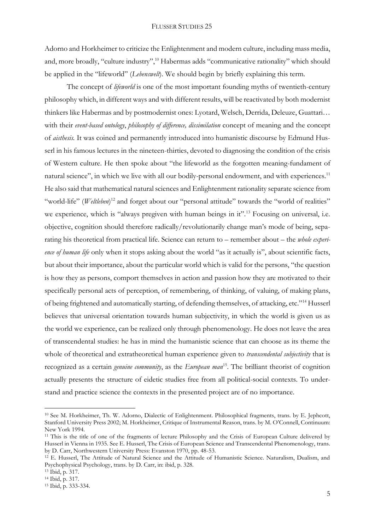Adorno and Horkheimer to criticize the Enlightenment and modern culture, including mass media, and, more broadly, "culture industry",<sup>10</sup> Habermas adds "communicative rationality" which should be applied in the "lifeworld" (*Lebenswelt*). We should begin by briefly explaining this term.

The concept of *lifeworld* is one of the most important founding myths of twentieth-century philosophy which, in different ways and with different results, will be reactivated by both modernist thinkers like Habermas and by postmodernist ones: Lyotard, Welsch, Derrida, Deleuze, Guattari… with their *event-based ontology*, *philosophy of difference, dissimilation* concept of meaning and the concept of *aisthesis.* It was coined and permanently introduced into humanistic discourse by Edmund Husserl in his famous lectures in the nineteen-thirties, devoted to diagnosing the condition of the crisis of Western culture. He then spoke about "the lifeworld as the forgotten meaning-fundament of natural science", in which we live with all our bodily-personal endowment, and with experiences.<sup>11</sup> He also said that mathematical natural sciences and Enlightenment rationality separate science from "world-life" (Weltleben)<sup>12</sup> and forget about our "personal attitude" towards the "world of realities" we experience, which is "always pregiven with human beings in it".<sup>13</sup> Focusing on universal, i.e. objective, cognition should therefore radically/revolutionarily change man's mode of being, separating his theoretical from practical life. Science can return to – remember about – the *whole experience of human life* only when it stops asking about the world "as it actually is", about scientific facts, but about their importance, about the particular world which is valid for the persons, "the question is how they as persons, comport themselves in action and passion how they are motivated to their specifically personal acts of perception, of remembering, of thinking, of valuing, of making plans, of being frightened and automatically starting, of defending themselves, of attacking, etc."<sup>14</sup> Husserl believes that universal orientation towards human subjectivity, in which the world is given us as the world we experience, can be realized only through phenomenology. He does not leave the area of transcendental studies: he has in mind the humanistic science that can choose as its theme the whole of theoretical and extratheoretical human experience given to *transcendental subjectivity* that is recognized as a certain *genuine community*, as the *European man*<sup>15</sup>. The brilliant theorist of cognition actually presents the structure of eidetic studies free from all political-social contexts. To understand and practice science the contexts in the presented project are of no importance.

<sup>&</sup>lt;sup>10</sup> See M. Horkheimer, Th. W. Adorno, Dialectic of Enlightenment. Philosophical fragments, trans. by E. Jephcott, Stanford University Press 2002; M. Horkheimer, Critique of Instrumental Reason, trans. by M. O'Connell, Continuum: New York 1994.

<sup>&</sup>lt;sup>11</sup> This is the title of one of the fragments of lecture Philosophy and the Crisis of European Culture delivered by Husserl in Vienna in 1935. See E. Husserl, The Crisis of European Science and Transcendental Phenomenology, trans. by D. Carr, Northwestern University Press: Evanston 1970, pp. 48-53.

<sup>&</sup>lt;sup>12</sup> E. Husserl, The Attitude of Natural Science and the Attitude of Humanistic Science. Naturalism, Dualism, and Psychophysical Psychology, trans. by D. Carr, in: ibid, p. 328.

<sup>13</sup> Ibid, p. 317.

<sup>14</sup> Ibid, p. 317.

<sup>15</sup> Ibid, p. 333-334.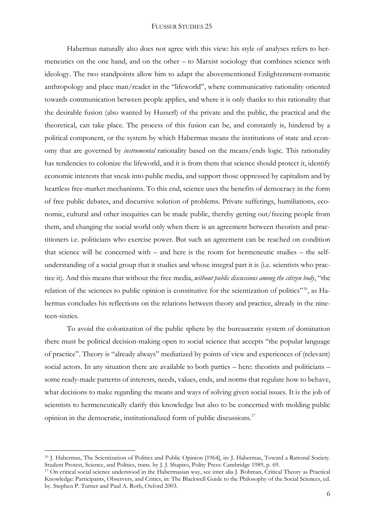Habermas naturally also does not agree with this view: his style of analyses refers to hermeneutics on the one hand, and on the other – to Marxist sociology that combines science with ideology. The two standpoints allow him to adapt the abovementioned Enlightenment-romantic anthropology and place man/reader in the "lifeworld", where communicative rationality oriented towards communication between people applies, and where it is only thanks to this rationality that the desirable fusion (also wanted by Husserl) of the private and the public, the practical and the theoretical, can take place. The process of this fusion can be, and constantly is, hindered by a political component, or the system by which Habermas means the institutions of state and economy that are governed by *instrumental* rationality based on the means/ends logic. This rationality has tendencies to colonize the lifeworld, and it is from them that science should protect it, identify economic interests that sneak into public media, and support those oppressed by capitalism and by heartless free-market mechanisms. To this end, science uses the benefits of democracy in the form of free public debates, and discursive solution of problems. Private sufferings, humiliations, economic, cultural and other inequities can be made public, thereby getting out/freeing people from them, and changing the social world only when there is an agreement between theorists and practitioners i.e. politicians who exercise power. But such an agreement can be reached on condition that science will be concerned with – and here is the room for hermeneutic studies – the selfunderstanding of a social group that it studies and whose integral part it is (i.e. scientists who practice it). And this means that without the free media, *without public discussions among the citizen body*, "the relation of the sciences to public opinion is constitutive for the scientization of politics"16, as Habermas concludes his reflections on the relations between theory and practice, already in the nineteen-sixties.

To avoid the colonization of the public sphere by the bureaucratic system of domination there must be political decision-making open to social science that accepts "the popular language of practice". Theory is "already always" mediatized by points of view and experiences of (relevant) social actors. In any situation there are available to both parties – here: theorists and politicians – some ready-made patterns of interests, needs, values, ends, and norms that regulate how to behave, what decisions to make regarding the means and ways of solving given social issues. It is the job of scientists to hermeneutically clarify this knowledge but also to be concerned with molding public opinion in the democratic, institutionalized form of public discussions.<sup>17</sup>

<sup>16</sup> J. Habermas, The Scientization of Politics and Public Opinion [1964], in: J. Habermas, Toward a Rational Society. Student Protest, Science, and Politics, trans. by J. J. Shapiro, Polity Press: Cambridge 1989, p. 69.

<sup>17</sup> On critical social science understood in the Habermasian way, see inter alia J. Bohman, Critical Theory as Practical Knowledge: Participants, Observers, and Critics, in: The Blackwell Guide to the Philosophy of the Social Sciences, ed. by. Stephen P. Turner and Paul A. Roth, Oxford 2003.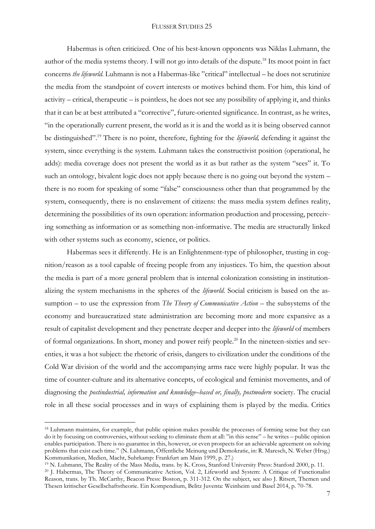Habermas is often criticized. One of his best-known opponents was Niklas Luhmann, the author of the media systems theory. I will not go into details of the dispute.<sup>18</sup> Its moot point in fact concerns *the lifeworld*. Luhmann is not a Habermas-like "critical" intellectual – he does not scrutinize the media from the standpoint of covert interests or motives behind them. For him, this kind of activity – critical, therapeutic – is pointless, he does not see any possibility of applying it, and thinks that it can be at best attributed a "corrective", future-oriented significance. In contrast, as he writes, "in the operationally current present, the world as it is and the world as it is being observed cannot be distinguished".<sup>19</sup> There is no point, therefore, fighting for the *lifeworld,* defending it against the system, since everything is the system. Luhmann takes the constructivist position (operational, he adds): media coverage does not present the world as it as but rather as the system "sees" it. To such an ontology, bivalent logic does not apply because there is no going out beyond the system – there is no room for speaking of some "false" consciousness other than that programmed by the system, consequently, there is no enslavement of citizens: the mass media system defines reality, determining the possibilities of its own operation: information production and processing, perceiving something as information or as something non-informative. The media are structurally linked with other systems such as economy, science, or politics.

Habermas sees it differently. He is an Enlightenment-type of philosopher, trusting in cognition/reason as a tool capable of freeing people from any injustices. To him, the question about the media is part of a more general problem that is internal colonization consisting in institutionalizing the system mechanisms in the spheres of the *lifeworld*. Social criticism is based on the assumption – to use the expression from *The Theory of Communicative Action* – the subsystems of the economy and bureaucratized state administration are becoming more and more expansive as a result of capitalist development and they penetrate deeper and deeper into the *lifeworld* of members of formal organizations. In short, money and power reify people.<sup>20</sup> In the nineteen-sixties and seventies, it was a hot subject: the rhetoric of crisis, dangers to civilization under the conditions of the Cold War division of the world and the accompanying arms race were highly popular. It was the time of counter-culture and its alternative concepts, of ecological and feminist movements, and of diagnosing the *postindustrial, information and knowledge–based or, finally, postmodern* society. The crucial role in all these social processes and in ways of explaining them is played by the media. Critics

<sup>&</sup>lt;sup>18</sup> Luhmann maintains, for example, that public opinion makes possible the processes of forming sense but they can do it by focusing on controversies, without seeking to eliminate them at all: "in this sense" – he writes – public opinion enables participation. There is no guarantee in this, however, or even prospects for an achievable agreement on solving problems that exist each time." (N. Luhmann, Öffentliche Meinung und Demokratie, in: R. Maresch, N. Weber (Hrsg.) Kommunikation, Medien, Macht, Suhrkamp: Frankfurt am Main 1999, p. 27.)

<sup>19</sup> N. Luhmann, The Reality of the Mass Media, trans. by K. Cross, Stanford University Press: Stanford 2000, p. 11.

<sup>20</sup> J. Habermas, The Theory of Communicative Action, Vol. 2, Lifeworld and System: A Critique of Functionalist Reason, trans. by Th. McCarthy, Beacon Press: Boston, p. 311-312. On the subject, see also J. Ritsert, Themen und Thesen kritischer Gesellschaftstheorie. Ein Kompendium, Belitz Juventa: Weinheim und Basel 2014, p. 70-78.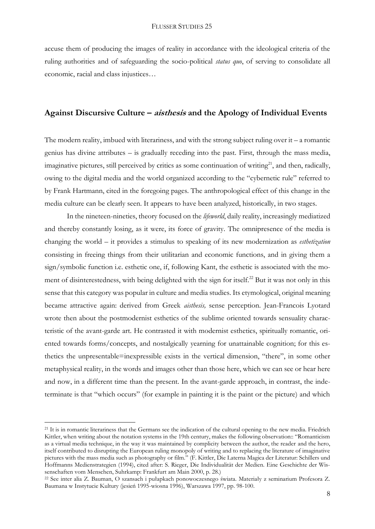accuse them of producing the images of reality in accordance with the ideological criteria of the ruling authorities and of safeguarding the socio-political *status quo*, of serving to consolidate all economic, racial and class injustices…

## **Against Discursive Culture – aisthesis and the Apology of Individual Events**

The modern reality, imbued with literariness, and with the strong subject ruling over  $it - a$  romantic genius has divine attributes – is gradually receding into the past. First, through the mass media, imaginative pictures, still perceived by critics as some continuation of writing $21$ , and then, radically, owing to the digital media and the world organized according to the "cybernetic rule" referred to by Frank Hartmann, cited in the foregoing pages. The anthropological effect of this change in the media culture can be clearly seen. It appears to have been analyzed, historically, in two stages.

In the nineteen-nineties, theory focused on the *lifeworld*, daily reality, increasingly mediatized and thereby constantly losing, as it were, its force of gravity. The omnipresence of the media is changing the world – it provides a stimulus to speaking of its new modernization as *esthetization*  consisting in freeing things from their utilitarian and economic functions, and in giving them a sign/symbolic function i.e. esthetic one, if, following Kant, the esthetic is associated with the moment of disinterestedness, with being delighted with the sign for itself.<sup>22</sup> But it was not only in this sense that this category was popular in culture and media studies. Its etymological, original meaning became attractive again: derived from Greek *aisthesis,* sense perception. Jean-Francois Lyotard wrote then about the postmodernist esthetics of the sublime oriented towards sensuality characteristic of the avant-garde art. He contrasted it with modernist esthetics, spiritually romantic, oriented towards forms/concepts, and nostalgically yearning for unattainable cognition; for this esthetics the unpresentable=inexpressible exists in the vertical dimension, "there", in some other metaphysical reality, in the words and images other than those here, which we can see or hear here and now, in a different time than the present. In the avant-garde approach, in contrast, the indeterminate is that "which occurs" (for example in painting it is the paint or the picture) and which

<sup>&</sup>lt;sup>21</sup> It is in romantic literariness that the Germans see the indication of the cultural opening to the new media. Friedrich Kittler, when writing about the notation systems in the 19th century, makes the following observation:: "Romanticism as a virtual media technique, in the way it was maintained by complicity between the author, the reader and the hero, itself contributed to disrupting the European ruling monopoly of writing and to replacing the literature of imaginative pictures with the mass media such as photography or film." (F. Kittler, Die Laterna Magica der Literatur: Schillers und Hoffmanns Medienstrategien (1994), cited after: S. Rieger, Die Individualität der Medien. Eine Geschichte der Wissenschaften vom Menschen, Suhrkamp: Frankfurt am Main 2000, p. 28.)

<sup>22</sup> See inter alia Z. Bauman, O szansach i pułapkach ponowoczesnego świata. Materiały z seminarium Profesora Z. Baumana w Instytucie Kultury (jesień 1995-wiosna 1996), Warszawa 1997, pp. 98-100.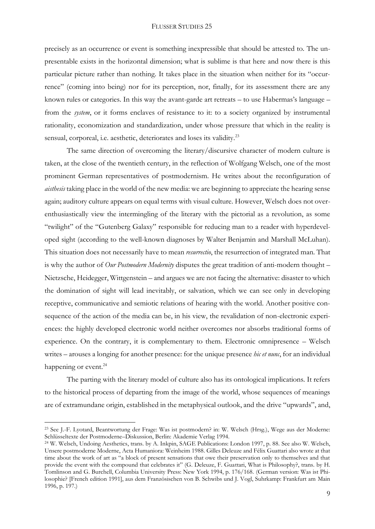precisely as an occurrence or event is something inexpressible that should be attested to. The unpresentable exists in the horizontal dimension; what is sublime is that here and now there is this particular picture rather than nothing. It takes place in the situation when neither for its "occurrence" (coming into being) nor for its perception, nor, finally, for its assessment there are any known rules or categories. In this way the avant-garde art retreats – to use Habermas's language – from the *system*, or it forms enclaves of resistance to it: to a society organized by instrumental rationality, economization and standardization, under whose pressure that which in the reality is sensual, corporeal, i.e. aesthetic, deteriorates and loses its validity.<sup>23</sup>

The same direction of overcoming the literary/discursive character of modern culture is taken, at the close of the twentieth century, in the reflection of Wolfgang Welsch, one of the most prominent German representatives of postmodernism. He writes about the reconfiguration of *aisthesis* taking place in the world of the new media: we are beginning to appreciate the hearing sense again; auditory culture appears on equal terms with visual culture. However, Welsch does not overenthusiastically view the intermingling of the literary with the pictorial as a revolution, as some "twilight" of the "Gutenberg Galaxy" responsible for reducing man to a reader with hyperdeveloped sight (according to the well-known diagnoses by Walter Benjamin and Marshall McLuhan). This situation does not necessarily have to mean *resurrectio*, the resurrection of integrated man. That is why the author of *Our Postmodern Modernity* disputes the great tradition of anti-modern thought – Nietzsche, Heidegger, Wittgenstein – and argues we are not facing the alternative: disaster to which the domination of sight will lead inevitably, or salvation, which we can see only in developing receptive, communicative and semiotic relations of hearing with the world. Another positive consequence of the action of the media can be, in his view, the revalidation of non-electronic experiences: the highly developed electronic world neither overcomes nor absorbs traditional forms of experience. On the contrary, it is complementary to them. Electronic omnipresence – Welsch writes – arouses a longing for another presence: for the unique presence *hic et nunc*, for an individual happening or event.<sup>24</sup>

The parting with the literary model of culture also has its ontological implications. It refers to the historical process of departing from the image of the world, whose sequences of meanings are of extramundane origin, established in the metaphysical outlook, and the drive "upwards", and,

<sup>23</sup> See J.-F. Lyotard, Beantwortung der Frage: Was ist postmodern? in: W. Welsch (Hrsg.), Wege aus der Moderne: Schlüsseltexte der Postmoderne–Diskussion, Berlin: Akademie Verlag 1994.

<sup>24</sup> W. Welsch, Undoing Aesthetics, trans. by A. Inkpin, SAGE Publications: London 1997, p. 88. See also W. Welsch, Unsere postmoderne Moderne, Acta Humaniora: Weinheim 1988. Gilles Deleuze and Félix Guattari also wrote at that time about the work of art as "a block of present sensations that owe their preservation only to themselves and that provide the event with the compound that celebrates it" (G. Deleuze, F. Guattari, What is Philosophy?, trans. by H. Tomlinson and G. Burchell, Columbia University Press: New York 1994, p. 176/168. (German version: Was ist Philosophie? [French edition 1991], aus dem Französischen von B. Schwibs und J. Vogl, Suhrkamp: Frankfurt am Main 1996, p. 197.)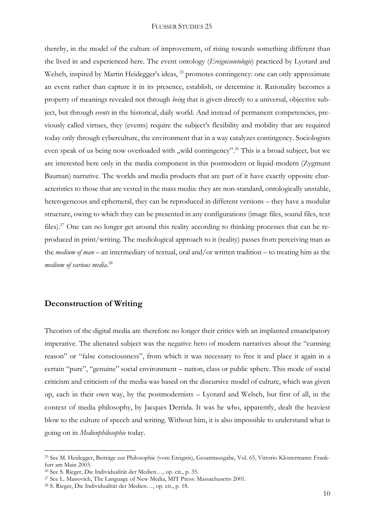thereby, in the model of the culture of improvement, of rising towards something different than the lived in and experienced here. The event ontology (*Ereignisontologie*) practiced by Lyotard and Welsch, inspired by Martin Heidegger's ideas, <sup>25</sup> promotes contingency: one can only approximate an event rather than capture it in its presence, establish, or determine it. Rationality becomes a property of meanings revealed not through *being* that is given directly to a universal, objective subject, but through *events* in the historical, daily world. And instead of permanent competencies, previously called virtues, they (events) require the subject's flexibility and mobility that are required today only through cyberculture, the environment that in a way catalyzes contingency. Sociologists even speak of us being now overloaded with "wild contingency".<sup>26</sup> This is a broad subject, but we are interested here only in the media component in this postmodern or liquid-modern (Zygmunt Bauman) narrative. The worlds and media products that are part of it have exactly opposite characteristics to those that are vested in the mass media: they are non-standard, ontologically unstable, heterogeneous and ephemeral, they can be reproduced in different versions – they have a modular structure, owing to which they can be presented in any configurations (image files, sound files, text files).<sup>27</sup> One can no longer get around this reality according to thinking processes that can be reproduced in print/writing. The mediological approach to it (reality) passes from perceiving man as the *medium of man* – an intermediary of textual, oral and/or written tradition – to treating him as the *medium of various media*. 28

# **Deconstruction of Writing**

<u>.</u>

Theorists of the digital media are therefore no longer their critics with an implanted emancipatory imperative. The alienated subject was the negative hero of modern narratives about the "cunning reason" or "false consciousness", from which it was necessary to free it and place it again in a certain "pure", "genuine" social environment – nation, class or public sphere. This mode of social criticism and criticism of the media was based on the discursive model of culture, which was given up, each in their own way, by the postmodernists – Lyotard and Welsch, but first of all, in the context of media philosophy, by Jacques Derrida. It was he who, apparently, dealt the heaviest blow to the culture of speech and writing. Without him, it is also impossible to understand what is going on in *Medienphilosophie* today.

<sup>25</sup> See M. Heidegger, Beiträge zur Philosophie (vom Ereignis), Gesamtausgabe, Vol. 65, Vittorio Klostermann: Frankfurt am Main 2003.

<sup>26</sup> See S. Rieger, Die Individualität der Medien…, op. cit., p. 35.

<sup>27</sup> See L. Manovich, The Language of New Media, MIT Press: Massachusetts 2001.

<sup>28</sup> S. Rieger, Die Individualität der Medien…, op. cit., p. 18.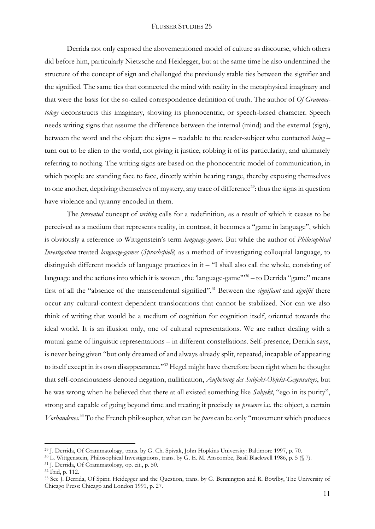Derrida not only exposed the abovementioned model of culture as discourse, which others did before him, particularly Nietzsche and Heidegger, but at the same time he also undermined the structure of the concept of sign and challenged the previously stable ties between the signifier and the signified. The same ties that connected the mind with reality in the metaphysical imaginary and that were the basis for the so-called correspondence definition of truth. The author of *Of Grammatology* deconstructs this imaginary, showing its phonocentric, or speech-based character. Speech needs writing signs that assume the difference between the internal (mind) and the external (sign), between the word and the object: the signs – readable to the reader-subject who contacted *being* – turn out to be alien to the world, not giving it justice, robbing it of its particularity, and ultimately referring to nothing. The writing signs are based on the phonocentric model of communication, in which people are standing face to face, directly within hearing range, thereby exposing themselves to one another, depriving themselves of mystery, any trace of difference<sup>29</sup>: thus the signs in question have violence and tyranny encoded in them.

The *presented* concept of *writing* calls for a redefinition, as a result of which it ceases to be perceived as a medium that represents reality, in contrast, it becomes a "game in language", which is obviously a reference to Wittgenstein's term *language-games.* But while the author of *Philosophical Investigation* treated *language-games* (*Sprachspiele*) as a method of investigating colloquial language, to distinguish different models of language practices in it – "I shall also call the whole, consisting of language and the actions into which it is woven, the 'language-game"<sup>30</sup> - to Derrida "game" means first of all the "absence of the transcendental signified".<sup>31</sup> Between the *signifiant* and *signifié* there occur any cultural-context dependent translocations that cannot be stabilized. Nor can we also think of writing that would be a medium of cognition for cognition itself, oriented towards the ideal world. It is an illusion only, one of cultural representations. We are rather dealing with a mutual game of linguistic representations – in different constellations. Self-presence, Derrida says, is never being given "but only dreamed of and always already split, repeated, incapable of appearing to itself except in its own disappearance."<sup>32</sup> Hegel might have therefore been right when he thought that self-consciousness denoted negation, nullification, *Aufhebung des Subjekt-Objekt-Gegensatzes*, but he was wrong when he believed that there at all existed something like *Subjekt*, "ego in its purity", strong and capable of going beyond time and treating it precisely as *presence* i.e. the object, a certain *Vorhandenes*. <sup>33</sup> To the French philosopher, what can be *pure* can be only "movement which produces

<sup>29</sup> J. Derrida, Of Grammatology, trans. by G. Ch. Spivak, John Hopkins University: Baltimore 1997, p. 70.

<sup>30</sup> L. Wittgenstein, Philosophical Investigations, trans. by G. E. M. Anscombe, Basil Blackwell 1986, p. 5 (§ 7).

<sup>31</sup> J. Derrida, Of Grammatology, op. cit., p. 50.

<sup>32</sup> Ibid, p. 112.

<sup>33</sup> See J. Derrida, Of Spirit. Heidegger and the Question, trans. by G. Bennington and R. Bowlby, The University of Chicago Press: Chicago and London 1991, p. 27.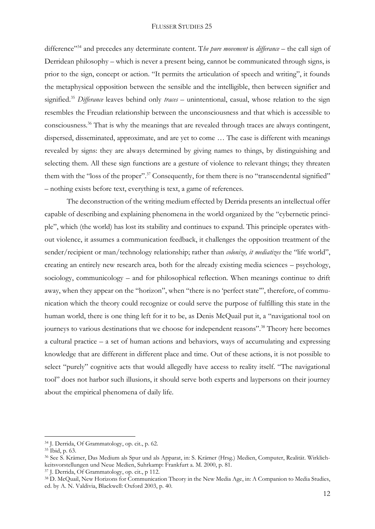difference"<sup>34</sup> and precedes any determinate content. T*he pure movement* is *differance* – the call sign of Derridean philosophy – which is never a present being, cannot be communicated through signs, is prior to the sign, concept or action. "It permits the articulation of speech and writing", it founds the metaphysical opposition between the sensible and the intelligible, then between signifier and signified.<sup>35</sup> *Differance* leaves behind only *traces* – unintentional, casual, whose relation to the sign resembles the Freudian relationship between the unconsciousness and that which is accessible to consciousness.<sup>36</sup> That is why the meanings that are revealed through traces are always contingent, dispersed, disseminated, approximate, and are yet to come … The case is different with meanings revealed by signs: they are always determined by giving names to things, by distinguishing and selecting them. All these sign functions are a gesture of violence to relevant things; they threaten them with the "loss of the proper".<sup>37</sup> Consequently, for them there is no "transcendental signified" – nothing exists before text, everything is text, a game of references.

The deconstruction of the writing medium effected by Derrida presents an intellectual offer capable of describing and explaining phenomena in the world organized by the "cybernetic principle", which (the world) has lost its stability and continues to expand. This principle operates without violence, it assumes a communication feedback, it challenges the opposition treatment of the sender/recipient or man/technology relationship; rather than *colonize*, *it mediatizes* the "life world", creating an entirely new research area, both for the already existing media sciences – psychology, sociology, communicology – and for philosophical reflection. When meanings continue to drift away, when they appear on the "horizon", when "there is no 'perfect state'", therefore, of communication which the theory could recognize or could serve the purpose of fulfilling this state in the human world, there is one thing left for it to be, as Denis McQuail put it, a "navigational tool on journeys to various destinations that we choose for independent reasons".<sup>38</sup> Theory here becomes a cultural practice – a set of human actions and behaviors, ways of accumulating and expressing knowledge that are different in different place and time. Out of these actions, it is not possible to select "purely" cognitive acts that would allegedly have access to reality itself. "The navigational tool" does not harbor such illusions, it should serve both experts and laypersons on their journey about the empirical phenomena of daily life.

<sup>34</sup> J. Derrida, Of Grammatology, op. cit., p. 62.

<sup>35</sup> Ibid, p. 63.

<sup>36</sup> See S. Krämer, Das Medium als Spur und als Apparat, in: S. Krämer (Hrsg.) Medien, Computer, Realität. Wirklichkeitsvorstellungen und Neue Medien, Suhrkamp: Frankfurt a. M. 2000, p. 81.

<sup>37</sup> J. Derrida, Of Grammatology, op. cit., p 112.

<sup>&</sup>lt;sup>38</sup> D. McQuail, New Horizons for Communication Theory in the New Media Age, in: A Companion to Media Studies, ed. by A. N. Valdivia, Blackwell: Oxford 2003, p. 40.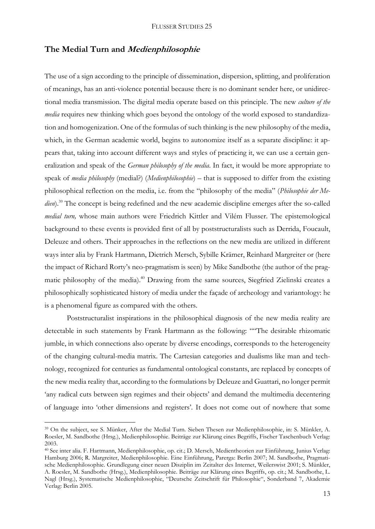## **The Medial Turn and Medienphilosophie**

The use of a sign according to the principle of dissemination, dispersion, splitting, and proliferation of meanings, has an anti-violence potential because there is no dominant sender here, or unidirectional media transmission. The digital media operate based on this principle. The new *culture of the media* requires new thinking which goes beyond the ontology of the world exposed to standardization and homogenization. One of the formulas of such thinking is the new philosophy of the media, which, in the German academic world, begins to autonomize itself as a separate discipline: it appears that, taking into account different ways and styles of practicing it, we can use a certain generalization and speak of the *German philosophy of the media*. In fact, it would be more appropriate to speak of *media philosophy* (medial?) (*Medienphilosophie*) – that is supposed to differ from the existing philosophical reflection on the media, i.e. from the "philosophy of the media" (*Philosophie der Medien*).<sup>39</sup> The concept is being redefined and the new academic discipline emerges after the so-called *medial turn,* whose main authors were Friedrich Kittler and Vilém Flusser. The epistemological background to these events is provided first of all by poststructuralists such as Derrida, Foucault, Deleuze and others. Their approaches in the reflections on the new media are utilized in different ways inter alia by Frank Hartmann, Dietrich Mersch, Sybille Krämer, Reinhard Margreiter or (here the impact of Richard Rorty's neo-pragmatism is seen) by Mike Sandbothe (the author of the pragmatic philosophy of the media).<sup>40</sup> Drawing from the same sources, Siegfried Zielinski creates a philosophically sophisticated history of media under the façade of archeology and variantology: he is a phenomenal figure as compared with the others.

Poststructuralist inspirations in the philosophical diagnosis of the new media reality are detectable in such statements by Frank Hartmann as the following: ""The desirable rhizomatic jumble, in which connections also operate by diverse encodings, corresponds to the heterogeneity of the changing cultural-media matrix. The Cartesian categories and dualisms like man and technology, recognized for centuries as fundamental ontological constants, are replaced by concepts of the new media reality that, according to the formulations by Deleuze and Guattari, no longer permit 'any radical cuts between sign regimes and their objects' and demand the multimedia decentering of language into 'other dimensions and registers'. It does not come out of nowhere that some

<sup>39</sup> On the subject, see S. Münker, After the Medial Turn. Sieben Thesen zur Medienphilosophie, in: S. Münkler, A. Roesler, M. Sandbothe (Hrsg.), Medienphilosophie. Beiträge zur Klärung eines Begriffs, Fischer Taschenbuch Verlag: 2003.

<sup>40</sup> See inter alia. F. Hartmann, Medienphilosophie, op. cit.; D. Mersch, Medientheorien zur Einführung, Junius Verlag: Hamburg 2006; R. Margreiter, Medienphilosophie. Eine Einführung, Parerga: Berlin 2007; M. Sandbothe, Pragmatische Medienphilosophie. Grundlegung einer neuen Disziplin im Zeitalter des Internet, Weilerswist 2001; S. Münkler, A. Roesler, M. Sandbothe (Hrsg.), Medienphilosophie. Beiträge zur Klärung eines Begriffs, op. cit.; M. Sandbothe, L. Nagl (Hrsg.), Systematische Medienphilosophie, "Deutsche Zeitschrift für Philosophie", Sonderband 7, Akademie Verlag: Berlin 2005.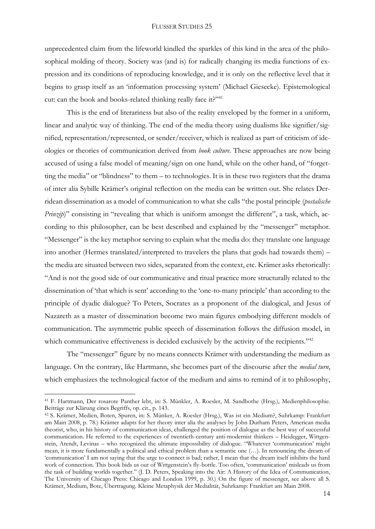unprecedented claim from the lifeworld kindled the sparkles of this kind in the area of the philosophical molding of theory. Society was (and is) for radically changing its media functions of expression and its conditions of reproducing knowledge, and it is only on the reflective level that it begins to grasp itself as an 'information processing system' (Michael Giesecke). Epistemological cut: can the book and books-related thinking really face it?"<sup>41</sup>

This is the end of literariness but also of the reality enveloped by the former in a uniform, linear and analytic way of thinking. The end of the media theory using dualisms like signifier/signified, representation/represented, or sender/receiver, which is realized as part of criticism of ideologies or theories of communication derived from *book culture*. These approaches are now being accused of using a false model of meaning/sign on one hand, while on the other hand, of "forgetting the media" or "blindness" to them – to technologies. It is in these two registers that the drama of inter alia Sybille Krämer's original reflection on the media can be written out. She relates Derridean dissemination as a model of communication to what she calls "the postal principle (*postalische Prinzip*)" consisting in "revealing that which is uniform amongst the different", a task, which, according to this philosopher, can be best described and explained by the "messenger" metaphor. "Messenger" is the key metaphor serving to explain what the media do: they translate one language into another (Hermes translated/interpreted to travelers the plans that gods had towards them) – the media are situated between two sides, separated from the context, etc. Krämer asks rhetorically: "And is not the good side of our communicative and ritual practice more structurally related to the dissemination of 'that which is sent' according to the 'one-to-many principle' than according to the principle of dyadic dialogue? To Peters, Socrates as a proponent of the dialogical, and Jesus of Nazareth as a master of dissemination become two main figures embodying different models of communication. The asymmetric public speech of dissemination follows the diffusion model, in which communicative effectiveness is decided exclusively by the activity of the recipients."<sup>42</sup>

The "messenger" figure by no means connects Krämer with understanding the medium as language. On the contrary, like Hartmann, she becomes part of the discourse after the *medial turn*, which emphasizes the technological factor of the medium and aims to remind of it to philosophy,

<sup>41</sup> F. Hartmann, Der rosarote Panther lebt, in: S. Münkler, A. Roesler, M. Sandbothe (Hrsg.), Medienphilosophie. Beiträge zur Klärung eines Begriffs, op. cit., p. 143.

<sup>42</sup> S. Krämer, Medien, Boten, Spuren, in: S. Münker, A. Roesler (Hrsg.), Was ist ein Medium?, Suhrkamp: Frankfurt am Main 2008, p. 78.) Krämer adapts for her theory inter alia the analyses by John Durham Peters, American media theorist, who, in his history of communication ideas, challenged the position of dialogue as the best way of successful communication. He referred to the experiences of twentieth-century anti-modernist thinkers – Heidegger, Wittgenstein, Arendt, Levinas – who recognized the ultimate impossibility of dialogue. "Whatever 'communication' might mean, it is more fundamentally a political and ethical problem than a semantic one (…). In renouncing the dream of 'communication' I am not saying that the urge to connect is bad; rather, I mean that the dream itself inhibits the hard work of connection. This book bids us out of Wittgenstein's fly-bottle. Too often, 'communication' misleads us from the task of building worlds together." (J. D. Peters, Speaking into the Air: A History of the Idea of Communication, The University of Chicago Press: Chicago and London 1999, p. 30.) On the figure of messenger, see above all S. Krämer, Medium, Bote, Übertragung. Kleine Metaphysik der Medialität, Suhrkamp: Frankfurt am Main 2008.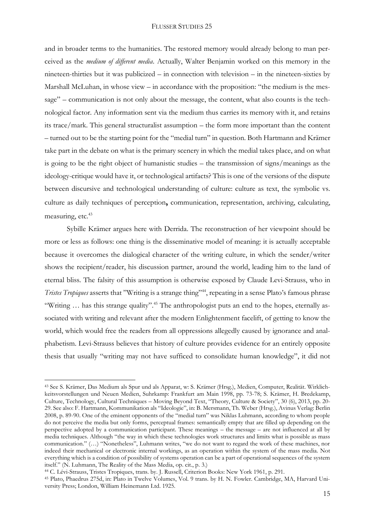and in broader terms to the humanities. The restored memory would already belong to man perceived as the *medium of different media*. Actually, Walter Benjamin worked on this memory in the nineteen-thirties but it was publicized – in connection with television – in the nineteen-sixties by Marshall McLuhan, in whose view – in accordance with the proposition: "the medium is the message" – communication is not only about the message, the content, what also counts is the technological factor. Any information sent via the medium thus carries its memory with it, and retains its trace/mark. This general structuralist assumption – the form more important than the content – turned out to be the starting point for the "medial turn" in question. Both Hartmann and Krämer take part in the debate on what is the primary scenery in which the medial takes place, and on what is going to be the right object of humanistic studies – the transmission of signs/meanings as the ideology-critique would have it, or technological artifacts? This is one of the versions of the dispute between discursive and technological understanding of culture: culture as text, the symbolic vs. culture as daily techniques of perception**,** communication, representation, archiving, calculating, measuring, etc.<sup>43</sup>

Sybille Krämer argues here with Derrida. The reconstruction of her viewpoint should be more or less as follows: one thing is the disseminative model of meaning: it is actually acceptable because it overcomes the dialogical character of the writing culture, in which the sender/writer shows the recipient/reader, his discussion partner, around the world, leading him to the land of eternal bliss. The falsity of this assumption is otherwise exposed by Claude Levi-Strauss, who in *Tristes Tropiques* asserts that "Writing is a strange thing"<sup>44</sup>, repeating in a sense Plato's famous phrase "Writing ... has this strange quality".<sup>45</sup> The anthropologist puts an end to the hopes, eternally associated with writing and relevant after the modern Enlightenment facelift, of getting to know the world, which would free the readers from all oppressions allegedly caused by ignorance and analphabetism. Levi-Strauss believes that history of culture provides evidence for an entirely opposite thesis that usually "writing may not have sufficed to consolidate human knowledge", it did not

1

<sup>43</sup> See S. Krämer, Das Medium als Spur und als Apparat, w: S. Krämer (Hrsg.), Medien, Computer, Realität. Wirklichkeitsvorstellungen und Neuen Medien, Suhrkamp: Frankfurt am Main 1998, pp. 73-78; S. Krämer, H. Bredekamp, Culture, Technology, Cultural Techniques – Moving Beyond Text, "Theory, Culture & Society", 30 (6), 2013, pp. 20- 29. See also: F. Hartmann, Kommunikation als "Ideologie", in: B. Mersmann, Th. Weber (Hrsg.), Avinus Verlag: Berlin 2008, p. 89-90. One of the eminent opponents of the "medial turn" was Niklas Luhmann, according to whom people do not perceive the media but only forms, perceptual frames: semantically empty that are filled up depending on the perspective adopted by a communication participant. These meanings – the message – are not influenced at all by media techniques. Although "the way in which these technologies work structures and limits what is possible as mass communication." (…) "Nonetheless", Luhmann writes, "we do not want to regard the work of these machines, nor indeed their mechanical or electronic internal workings, as an operation within the system of the mass media. Not everything which is a condition of possibility of systems operation can be a part of operational sequences of the system itself." (N. Luhmann, The Reality of the Mass Media, op. cit., p. 3.)

<sup>44</sup> C. Lévi-Strauss, Tristes Tropiques, trans. by. J. Russell, Criterion Books: New York 1961, p. 291.

<sup>45</sup> Plato, Phaedrus 275d, in: Plato in Twelve Volumes, Vol. 9 trans. by H. N. Fowler. Cambridge, MA, Harvard University Press; London, William Heinemann Ltd. 1925.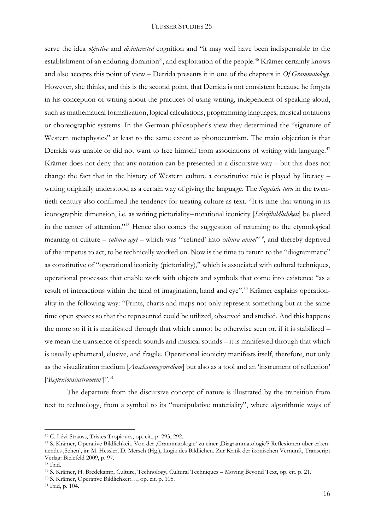serve the idea *objective* and *disinterested* cognition and "it may well have been indispensable to the establishment of an enduring dominion", and exploitation of the people.<sup>46</sup> Krämer certainly knows and also accepts this point of view – Derrida presents it in one of the chapters in *Of Grammatology.* However, she thinks, and this is the second point, that Derrida is not consistent because he forgets in his conception of writing about the practices of using writing, independent of speaking aloud, such as mathematical formalization, logical calculations, programming languages, musical notations or choreographic systems. In the German philosopher's view they determined the "signature of Western metaphysics" at least to the same extent as phonocentrism. The main objection is that Derrida was unable or did not want to free himself from associations of writing with language.<sup>47</sup> Krämer does not deny that any notation can be presented in a discursive way – but this does not change the fact that in the history of Western culture a constitutive role is played by literacy – writing originally understood as a certain way of giving the language. The *linguistic turn* in the twentieth century also confirmed the tendency for treating culture as text. "It is time that writing in its iconographic dimension, i.e. as writing pictoriality=notational iconicity [*Schriftbildlichkeit*] be placed in the center of attention."<sup>48</sup> Hence also comes the suggestion of returning to the etymological meaning of culture *– cultura agri* – which was "refined' into *cultura animi*<sup>249</sup>, and thereby deprived of the impetus to act, to be technically worked on. Now is the time to return to the "diagrammatic" as constitutive of "operational iconicity (pictoriality)," which is associated with cultural techniques, operational processes that enable work with objects and symbols that come into existence "as a result of interactions within the triad of imagination, hand and eye".<sup>50</sup> Krämer explains operationality in the following way: "Prints, charts and maps not only represent something but at the same time open spaces so that the represented could be utilized, observed and studied. And this happens the more so if it is manifested through that which cannot be otherwise seen or, if it is stabilized – we mean the transience of speech sounds and musical sounds – it is manifested through that which is usually ephemeral, elusive, and fragile. Operational iconicity manifests itself, therefore, not only as the visualization medium [*Anschauungsmedium*] but also as a tool and an 'instrument of reflection' ['*Reflexionsinstrument'*]".<sup>51</sup>

The departure from the discursive concept of nature is illustrated by the transition from text to technology, from a symbol to its "manipulative materiality", where algorithmic ways of

<sup>46</sup> C. Lévi-Strauss, Tristes Tropiques, op. cit., p. 293, 292.

<sup>&</sup>lt;sup>47</sup> S. Krämer, Operative Bildlichkeit. Von der Grammatologie' zu einer ,Diagrammatologie'? Reflexionen über erkennendes 'Sehen', in: M. Hessler, D. Mersch (Hg.), Logik des Bildlichen. Zur Kritik der ikonischen Vernunft, Transcript Verlag: Bielefeld 2009, p. 97.

<sup>48</sup> Ibid.

<sup>49</sup> S. Krämer, H. Bredekamp, Culture, Technology, Cultural Techniques – Moving Beyond Text, op. cit. p. 21.

<sup>50</sup> S. Krämer, Operative Bildlichkeit…, op. cit. p. 105.

<sup>51</sup> Ibid, p. 104.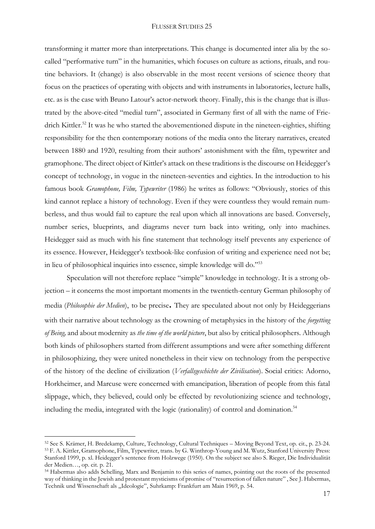transforming it matter more than interpretations. This change is documented inter alia by the socalled "performative turn" in the humanities, which focuses on culture as actions, rituals, and routine behaviors. It (change) is also observable in the most recent versions of science theory that focus on the practices of operating with objects and with instruments in laboratories, lecture halls, etc. as is the case with Bruno Latour's actor-network theory. Finally, this is the change that is illustrated by the above-cited "medial turn", associated in Germany first of all with the name of Friedrich Kittler.<sup>52</sup> It was he who started the abovementioned dispute in the nineteen-eighties, shifting responsibility for the then contemporary notions of the media onto the literary narratives, created between 1880 and 1920, resulting from their authors' astonishment with the film, typewriter and gramophone. The direct object of Kittler's attack on these traditions is the discourse on Heidegger's concept of technology, in vogue in the nineteen-seventies and eighties. In the introduction to his famous book *Gramophone, Film, Typewriter* (1986) he writes as follows: "Obviously, stories of this kind cannot replace a history of technology. Even if they were countless they would remain numberless, and thus would fail to capture the real upon which all innovations are based. Conversely, number series, blueprints, and diagrams never turn back into writing, only into machines. Heidegger said as much with his fine statement that technology itself prevents any experience of its essence. However, Heidegger's textbook-like confusion of writing and experience need not be; in lieu of philosophical inquiries into essence, simple knowledge will do."<sup>53</sup>

Speculation will not therefore replace "simple" knowledge in technology. It is a strong objection – it concerns the most important moments in the twentieth-century German philosophy of media (*Philosophie der Medien*), to be precise**.** They are speculated about not only by Heideggerians with their narrative about technology as the crowning of metaphysics in the history of the *forgetting of Being,* and about modernity as *the time of the world picture*, but also by critical philosophers. Although both kinds of philosophers started from different assumptions and were after something different in philosophizing, they were united nonetheless in their view on technology from the perspective of the history of the decline of civilization (*Verfallsgeschichte der Zivilisation*). Social critics: Adorno, Horkheimer, and Marcuse were concerned with emancipation, liberation of people from this fatal slippage, which, they believed, could only be effected by revolutionizing science and technology, including the media, integrated with the logic (rationality) of control and domination.<sup>54</sup>

<sup>52</sup> See S. Krämer, H. Bredekamp, Culture, Technology, Cultural Techniques – Moving Beyond Text, op. cit., p. 23-24. <sup>53</sup> F. A. Kittler, Gramophone, Film, Typewriter, trans. by G. Winthrop-Young and M. Wutz, Stanford University Press: Stanford 1999, p. xl. Heidegger's sentence from Holzwege (1950). On the subject see also S. Rieger, Die Individualität der Medien…, op. cit. p. 21.

<sup>54</sup> Habermas also adds Schelling, Marx and Benjamin to this series of names, pointing out the roots of the presented way of thinking in the Jewish and protestant mysticisms of promise of "resurrection of fallen nature" , See J. Habermas, Technik und Wissenschaft als "Ideologie", Suhrkamp: Frankfurt am Main 1969, p. 54.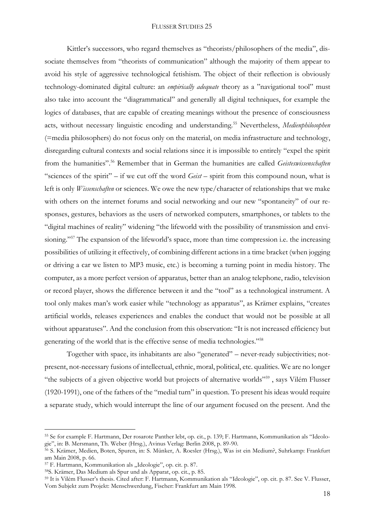Kittler's successors, who regard themselves as "theorists/philosophers of the media", dissociate themselves from "theorists of communication" although the majority of them appear to avoid his style of aggressive technological fetishism. The object of their reflection is obviously technology-dominated digital culture: an *empirically adequate* theory as a "navigational tool" must also take into account the "diagrammatical" and generally all digital techniques, for example the logics of databases, that are capable of creating meanings without the presence of consciousness acts, without necessary linguistic encoding and understanding.<sup>55</sup> Nevertheless, *Medienphilosophen* (=media philosophers) do not focus only on the material, on media infrastructure and technology, disregarding cultural contexts and social relations since it is impossible to entirely "expel the spirit from the humanities".<sup>56</sup> Remember that in German the humanities are called *Geisteswissenschaften* "sciences of the spirit" – if we cut off the word *Geist* – spirit from this compound noun, what is left is only *Wissenschaften* or sciences. We owe the new type/character of relationships that we make with others on the internet forums and social networking and our new "spontaneity" of our responses, gestures, behaviors as the users of networked computers, smartphones, or tablets to the "digital machines of reality" widening "the lifeworld with the possibility of transmission and envisioning."<sup>57</sup> The expansion of the lifeworld's space, more than time compression i.e. the increasing possibilities of utilizing it effectively, of combining different actions in a time bracket (when jogging or driving a car we listen to MP3 music, etc.) is becoming a turning point in media history. The computer, as a more perfect version of apparatus, better than an analog telephone, radio, television or record player, shows the difference between it and the "tool" as a technological instrument. A tool only makes man's work easier while "technology as apparatus", as Krämer explains, "creates artificial worlds, releases experiences and enables the conduct that would not be possible at all without apparatuses". And the conclusion from this observation: "It is not increased efficiency but generating of the world that is the effective sense of media technologies."<sup>58</sup>

Together with space, its inhabitants are also "generated" – never-ready subjectivities; notpresent, not-necessary fusions of intellectual, ethnic, moral, political, etc. qualities. We are no longer "the subjects of a given objective world but projects of alternative worlds"<sup>59</sup>, says Vilém Flusser (1920-1991), one of the fathers of the "medial turn" in question. To present his ideas would require a separate study, which would interrupt the line of our argument focused on the present. And the

<sup>55</sup> Se for example F. Hartmann, Der rosarote Panther lebt, op. cit., p. 139; F. Hartmann, Kommunikation als "Ideologie", in: B. Mersmann, Th. Weber (Hrsg.), Avinus Verlag: Berlin 2008, p. 89-90.

<sup>56</sup> S. Krämer, Medien, Boten, Spuren, in: S. Münker, A. Roesler (Hrsg.), Was ist ein Medium?, Suhrkamp: Frankfurt am Main 2008, p. 66.

<sup>&</sup>lt;sup>57</sup> F. Hartmann, Kommunikation als "Ideologie", op. cit. p. 87.

<sup>58</sup>S. Krämer, Das Medium als Spur und als Apparat, op. cit., p. 85.

<sup>59</sup> It is Vilém Flusser's thesis. Cited after: F. Hartmann, Kommunikation als "Ideologie", op. cit. p. 87. See V. Flusser, Vom Subjekt zum Projekt: Menschwerdung, Fischer: Frankfurt am Main 1998.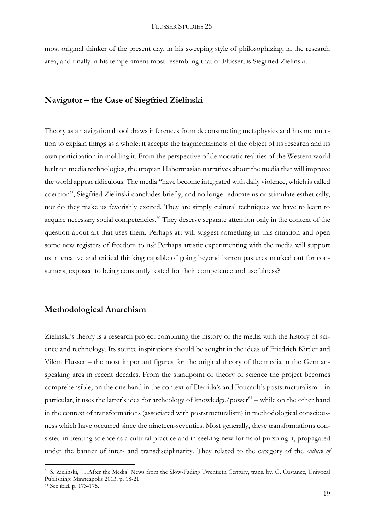most original thinker of the present day, in his sweeping style of philosophizing, in the research area, and finally in his temperament most resembling that of Flusser, is Siegfried Zielinski.

# **Navigator – the Case of Siegfried Zielinski**

Theory as a navigational tool draws inferences from deconstructing metaphysics and has no ambition to explain things as a whole; it accepts the fragmentariness of the object of its research and its own participation in molding it. From the perspective of democratic realities of the Western world built on media technologies, the utopian Habermasian narratives about the media that will improve the world appear ridiculous. The media "have become integrated with daily violence, which is called coercion", Siegfried Zielinski concludes briefly, and no longer educate us or stimulate esthetically, nor do they make us feverishly excited. They are simply cultural techniques we have to learn to acquire necessary social competencies.<sup>60</sup> They deserve separate attention only in the context of the question about art that uses them. Perhaps art will suggest something in this situation and open some new registers of freedom to us? Perhaps artistic experimenting with the media will support us in creative and critical thinking capable of going beyond barren pastures marked out for consumers, exposed to being constantly tested for their competence and usefulness?

## **Methodological Anarchism**

Zielinski's theory is a research project combining the history of the media with the history of science and technology. Its source inspirations should be sought in the ideas of Friedrich Kittler and Vilém Flusser – the most important figures for the original theory of the media in the Germanspeaking area in recent decades. From the standpoint of theory of science the project becomes comprehensible, on the one hand in the context of Derrida's and Foucault's poststructuralism – in particular, it uses the latter's idea for archeology of knowledge/power<sup>61</sup> – while on the other hand in the context of transformations (associated with poststructuralism) in methodological consciousness which have occurred since the nineteen-seventies. Most generally, these transformations consisted in treating science as a cultural practice and in seeking new forms of pursuing it, propagated under the banner of inter- and transdisciplinarity. They related to the category of the *culture of* 

<sup>60</sup> S. Zielinski, […After the Media] News from the Slow-Fading Twentieth Century, trans. by. G. Custance, Univocal Publishing: Minneapolis 2013, p. 18-21.

<sup>61</sup> See ibid. p. 173-175.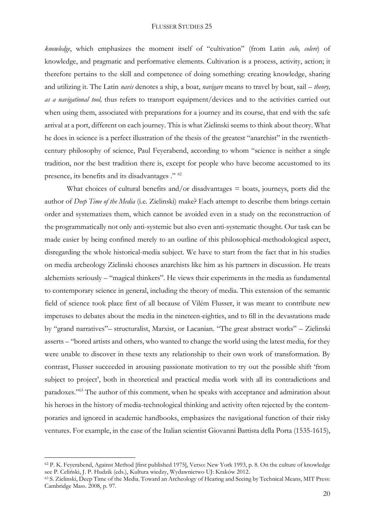*knowledge*, which emphasizes the moment itself of "cultivation" (from Latin *colo, colere*) of knowledge, and pragmatic and performative elements. Cultivation is a process, activity, action; it therefore pertains to the skill and competence of doing something: creating knowledge, sharing and utilizing it. The Latin *navis* denotes a ship, a boat, *navigare* means to travel by boat, sail – *theory, as a navigational tool,* thus refers to transport equipment/devices and to the activities carried out when using them, associated with preparations for a journey and its course, that end with the safe arrival at a port, different on each journey. This is what Zielinski seems to think about theory. What he does in science is a perfect illustration of the thesis of the greatest "anarchist" in the twentiethcentury philosophy of science, Paul Feyerabend, according to whom "science is neither a single tradition, nor the best tradition there is, except for people who have become accustomed to its presence, its benefits and its disadvantages ." <sup>62</sup>

What choices of cultural benefits and/or disadvantages  $=$  boats, journeys, ports did the author of *Deep Time of the Media* (i.e. Zielinski) make? Each attempt to describe them brings certain order and systematizes them, which cannot be avoided even in a study on the reconstruction of the programmatically not only anti-systemic but also even anti-systematic thought. Our task can be made easier by being confined merely to an outline of this philosophical-methodological aspect, disregarding the whole historical-media subject. We have to start from the fact that in his studies on media archeology Zielinski chooses anarchists like him as his partners in discussion. He treats alchemists seriously – "magical thinkers". He views their experiments in the media as fundamental to contemporary science in general, including the theory of media. This extension of the semantic field of science took place first of all because of Vilém Flusser, it was meant to contribute new impetuses to debates about the media in the nineteen-eighties, and to fill in the devastations made by "grand narratives"– structuralist, Marxist, or Lacanian. "The great abstract works" – Zielinski asserts – "bored artists and others, who wanted to change the world using the latest media, for they were unable to discover in these texts any relationship to their own work of transformation. By contrast, Flusser succeeded in arousing passionate motivation to try out the possible shift 'from subject to project', both in theoretical and practical media work with all its contradictions and paradoxes."<sup>63</sup> The author of this comment, when he speaks with acceptance and admiration about his heroes in the history of media-technological thinking and activity often rejected by the contemporaries and ignored in academic handbooks, emphasizes the navigational function of their risky ventures. For example, in the case of the Italian scientist Giovanni Battista della Porta (1535-1615),

<sup>62</sup> P. K. Feyerabend, Against Method [first published 1975], Verso: New York 1993, p. 8. On the culture of knowledge see P. Celiński, J. P. Hudzik (eds.), Kultura wiedzy, Wydawnictwo UJ: Kraków 2012.

<sup>63</sup> S. Zielinski, Deep Time of the Media. Toward an Archeology of Hearing and Seeing by Technical Means, MIT Press: Cambridge Mass. 2008, p. 97.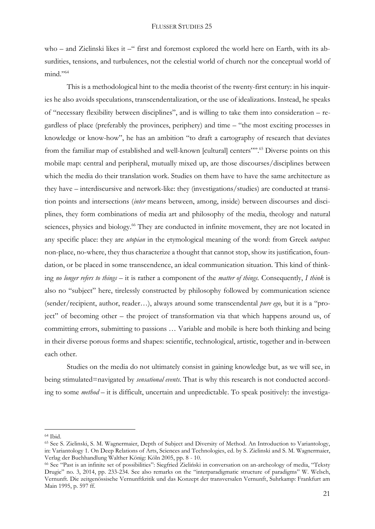who – and Zielinski likes it –" first and foremost explored the world here on Earth, with its absurdities, tensions, and turbulences, not the celestial world of church nor the conceptual world of  $mind."$ <sup>64</sup>

This is a methodological hint to the media theorist of the twenty-first century: in his inquiries he also avoids speculations, transcendentalization, or the use of idealizations. Instead, he speaks of "necessary flexibility between disciplines", and is willing to take them into consideration – regardless of place (preferably the provinces, periphery) and time – "the most exciting processes in knowledge or know-how", he has an ambition "to draft a cartography of research that deviates from the familiar map of established and well-known [cultural] centers"<sup>35</sup>. Diverse points on this mobile map: central and peripheral, mutually mixed up, are those discourses/disciplines between which the media do their translation work. Studies on them have to have the same architecture as they have – interdiscursive and network-like: they (investigations/studies) are conducted at transition points and intersections (*inter* means between, among, inside) between discourses and disciplines, they form combinations of media art and philosophy of the media, theology and natural sciences, physics and biology.<sup>66</sup> They are conducted in infinite movement, they are not located in any specific place: they are *utopian* in the etymological meaning of the word: from Greek *outopos*: non-place, no-where, they thus characterize a thought that cannot stop, show its justification, foundation, or be placed in some transcendence, an ideal communication situation. This kind of thinking *no longer refers to things –* it is rather a component of the *matter of things.* Consequently, *I think* is also no "subject" here, tirelessly constructed by philosophy followed by communication science (sender/recipient, author, reader…), always around some transcendental *pure ego*, but it is a "project" of becoming other – the project of transformation via that which happens around us, of committing errors, submitting to passions … Variable and mobile is here both thinking and being in their diverse porous forms and shapes: scientific, technological, artistic, together and in-between each other.

Studies on the media do not ultimately consist in gaining knowledge but, as we will see, in being stimulated=navigated by *sensational events*. That is why this research is not conducted according to some *method* – it is difficult, uncertain and unpredictable. To speak positively: the investiga-

<sup>64</sup> Ibid.

<sup>65</sup> See S. Zielinski, S. M. Wagnermaier, Depth of Subject and Diversity of Method. An Introduction to Variantology, in: Variantology 1. On Deep Relations of Arts, Sciences and Technologies, ed. by S. Zielinski and S. M. Wagnermaier, Verlag der Buchhandlung Walther König: Köln 2005, pp. 8 - 10.

<sup>66</sup> See "Past is an infinite set of possibilities": Siegfried Zieliński in conversation on an-archeology of media, "Teksty Drugie" no. 3, 2014, pp. 233-234. See also remarks on the "interparadigmatic structure of paradigms" W. Welsch, Vernunft. Die zeitgenössische Vernunftkritik und das Konzept der transversalen Vernunft, Suhrkamp: Frankfurt am Main 1995, p. 597 ff.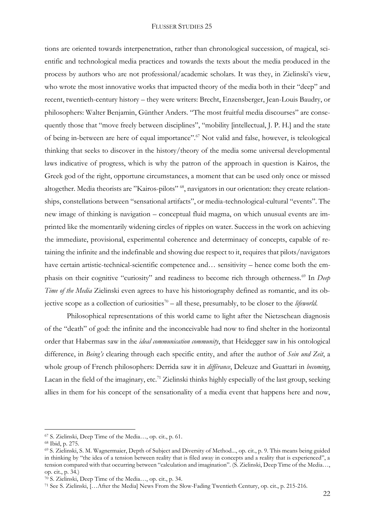tions are oriented towards interpenetration, rather than chronological succession, of magical, scientific and technological media practices and towards the texts about the media produced in the process by authors who are not professional/academic scholars. It was they, in Zielinski's view, who wrote the most innovative works that impacted theory of the media both in their "deep" and recent, twentieth-century history – they were writers: Brecht, Enzensberger, Jean-Louis Baudry, or philosophers: Walter Benjamin, Günther Anders. "The most fruitful media discourses" are consequently those that "move freely between disciplines", "mobility [intellectual, J. P. H.] and the state of being in-between are here of equal importance".<sup>67</sup> Not valid and false, however, is teleological thinking that seeks to discover in the history/theory of the media some universal developmental laws indicative of progress, which is why the patron of the approach in question is Kairos, the Greek god of the right, opportune circumstances, a moment that can be used only once or missed altogether. Media theorists are "Kairos-pilots" 68, navigators in our orientation: they create relationships, constellations between "sensational artifacts", or media-technological-cultural "events". The new image of thinking is navigation – conceptual fluid magma, on which unusual events are imprinted like the momentarily widening circles of ripples on water. Success in the work on achieving the immediate, provisional, experimental coherence and determinacy of concepts, capable of retaining the infinite and the indefinable and showing due respect to it, requires that pilots/navigators have certain artistic-technical-scientific competence and... sensitivity – hence come both the emphasis on their cognitive "curiosity" and readiness to become rich through otherness.<sup>69</sup> In *Deep Time of the Media* Zielinski even agrees to have his historiography defined as romantic, and its objective scope as a collection of curiosities<sup>70</sup> – all these, presumably, to be closer to the *lifeworld*.

Philosophical representations of this world came to light after the Nietzschean diagnosis of the "death" of god: the infinite and the inconceivable had now to find shelter in the horizontal order that Habermas saw in the *ideal communication community*, that Heidegger saw in his ontological difference, in *Being's* clearing through each specific entity, and after the author of *Sein und Zeit*, a whole group of French philosophers: Derrida saw it in *différance*, Deleuze and Guattari in *becoming*, Lacan in the field of the imaginary, etc.<sup>71</sup> Zielinski thinks highly especially of the last group, seeking allies in them for his concept of the sensationality of a media event that happens here and now,

<sup>67</sup> S. Zielinski, Deep Time of the Media…, op. cit., p. 61.

<sup>68</sup> Ibid, p. 275.

<sup>69</sup> S. Zielinski, S. M. Wagnermaier, Depth of Subject and Diversity of Method..., op. cit., p. 9. This means being guided in thinking by "the idea of a tension between reality that is filed away in concepts and a reality that is experienced", a tension compared with that occurring between "calculation and imagination". (S. Zielinski, Deep Time of the Media…, op. cit., p. 34.)

<sup>70</sup> S. Zielinski, Deep Time of the Media…, op. cit., p. 34.

<sup>71</sup> See S. Zielinski, […After the Media] News From the Slow-Fading Twentieth Century, op. cit., p. 215-216.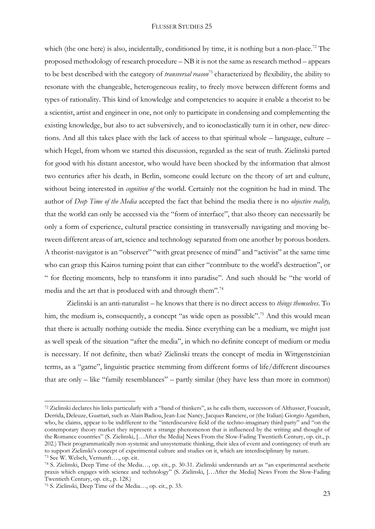which (the one here) is also, incidentally, conditioned by time, it is nothing but a non-place.<sup>72</sup> The proposed methodology of research procedure – NB it is not the same as research method – appears to be best described with the category of *transversal reason*<sup>73</sup> characterized by flexibility, the ability to resonate with the changeable, heterogeneous reality, to freely move between different forms and types of rationality. This kind of knowledge and competencies to acquire it enable a theorist to be a scientist, artist and engineer in one, not only to participate in condensing and complementing the existing knowledge, but also to act subversively, and to iconoclastically turn it in other, new directions. And all this takes place with the lack of access to that spiritual whole – language, culture – which Hegel, from whom we started this discussion, regarded as the seat of truth. Zielinski parted for good with his distant ancestor, who would have been shocked by the information that almost two centuries after his death, in Berlin, someone could lecture on the theory of art and culture, without being interested in *cognition of* the world. Certainly not the cognition he had in mind. The author of *Deep Time of the Media* accepted the fact that behind the media there is no *objective reality,*  that the world can only be accessed via the "form of interface", that also theory can necessarily be only a form of experience, cultural practice consisting in transversally navigating and moving between different areas of art, science and technology separated from one another by porous borders. A theorist-navigator is an "observer" "with great presence of mind" and "activist" at the same time who can grasp this Kairos turning point that can either "contribute to the world's destruction", or " for fleeting moments, help to transform it into paradise". And such should be "the world of media and the art that is produced with and through them".<sup>74</sup>

Zielinski is an anti-naturalist – he knows that there is no direct access to *things themselves*. To him, the medium is, consequently, a concept "as wide open as possible".<sup>75</sup> And this would mean that there is actually nothing outside the media. Since everything can be a medium, we might just as well speak of the situation "after the media", in which no definite concept of medium or media is necessary. If not definite, then what? Zielinski treats the concept of media in Wittgensteinian terms, as a "game", linguistic practice stemming from different forms of life/different discourses that are only – like "family resemblances" – partly similar (they have less than more in common)

1

<sup>72</sup> Zielinski declares his links particularly with a "band of thinkers", as he calls them, successors of Althusser, Foucault, Derrida, Deleuze, Guattari, such as Alain Badiou, Jean-Luc Nancy, Jacques Ranciere, or (the Italian) Giorgio Agamben, who, he claims, appear to be indifferent to the "interdiscursive field of the techno-imaginary third party" and "on the contemporary theory market they represent a strange phenomenon that is influenced by the writing and thought of the Romance countries" (S. Zielinski, […After the Media] News From the Slow-Fading Twentieth Century, op. cit., p. 202.) Their programmatically non-systemic and unsystematic thinking, their idea of event and contingency of truth are to support Zielinski's concept of experimental culture and studies on it, which are interdisciplinary by nature. <sup>73</sup> See W. Welsch, Vernunft…., op. cit.

<sup>74</sup> S. Zielinski, Deep Time of the Media…, op. cit., p. 30-31. Zielinski understands art as "an experimental aesthetic praxis which engages with science and technology" (S. Zielinski, […After the Media] News From the Slow-Fading Twentieth Century, op. cit., p. 128.)

<sup>75</sup> S. Zielinski, Deep Time of the Media…, op. cit., p. 33.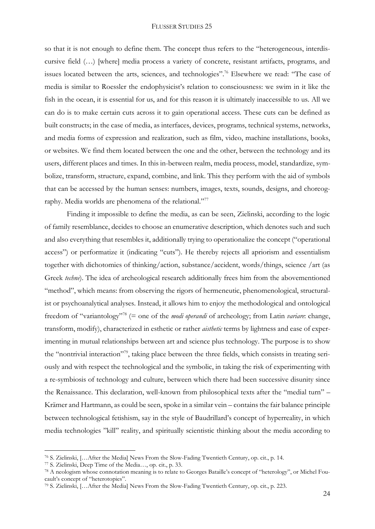so that it is not enough to define them. The concept thus refers to the "heterogeneous, interdiscursive field (…) [where] media process a variety of concrete, resistant artifacts, programs, and issues located between the arts, sciences, and technologies".<sup>76</sup> Elsewhere we read: "The case of media is similar to Roessler the endophysicist's relation to consciousness: we swim in it like the fish in the ocean, it is essential for us, and for this reason it is ultimately inaccessible to us. All we can do is to make certain cuts across it to gain operational access. These cuts can be defined as built constructs; in the case of media, as interfaces, devices, programs, technical systems, networks, and media forms of expression and realization, such as film, video, machine installations, books, or websites. We find them located between the one and the other, between the technology and its users, different places and times. In this in-between realm, media process, model, standardize, symbolize, transform, structure, expand, combine, and link. This they perform with the aid of symbols that can be accessed by the human senses: numbers, images, texts, sounds, designs, and choreography. Media worlds are phenomena of the relational."<sup>77</sup>

Finding it impossible to define the media, as can be seen, Zielinski, according to the logic of family resemblance, decides to choose an enumerative description, which denotes such and such and also everything that resembles it, additionally trying to operationalize the concept ("operational access") or performatize it (indicating "cuts"). He thereby rejects all apriorism and essentialism together with dichotomies of thinking/action, substance/accident, words/things, science /art (as Greek *techne*). The idea of archeological research additionally frees him from the abovementioned "method", which means: from observing the rigors of hermeneutic, phenomenological, structuralist or psychoanalytical analyses. Instead, it allows him to enjoy the methodological and ontological freedom of "variantology"<sup>78</sup> (= one of the *modi operandi* of archeology; from Latin *variare*: change, transform, modify), characterized in esthetic or rather *aisthetic* terms by lightness and ease of experimenting in mutual relationships between art and science plus technology. The purpose is to show the "nontrivial interaction"79, taking place between the three fields, which consists in treating seriously and with respect the technological and the symbolic, in taking the risk of experimenting with a re-symbiosis of technology and culture, between which there had been successive disunity since the Renaissance. This declaration, well-known from philosophical texts after the "medial turn" – Krämer and Hartmann, as could be seen, spoke in a similar vein – contains the fair balance principle between technological fetishism, say in the style of Baudrillard's concept of hyperreality, in which media technologies "kill" reality, and spiritually scientistic thinking about the media according to

<sup>76</sup> S. Zielinski, […After the Media] News From the Slow-Fading Twentieth Century, op. cit., p. 14.

<sup>77</sup> S. Zielinski, Deep Time of the Media…, op. cit., p. 33.

<sup>78</sup> A neologism whose connotation meaning is to relate to Georges Bataille's concept of "heterology", or Michel Foucault's concept of "heterotopies".

<sup>79</sup> S. Zielinski, […After the Media] News From the Slow-Fading Twentieth Century, op. cit., p. 223.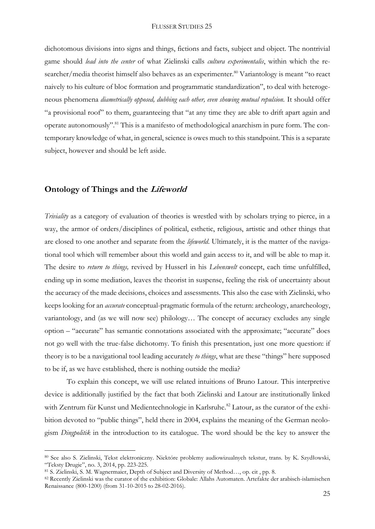dichotomous divisions into signs and things, fictions and facts, subject and object. The nontrivial game should *lead into the center* of what Zielinski calls *cultura experimentalis*, within which the researcher/media theorist himself also behaves as an experimenter.<sup>80</sup> Variantology is meant "to react naively to his culture of bloc formation and programmatic standardization", to deal with heterogeneous phenomena *diametrically opposed, dubbing each other, even showing mutual repulsion*. It should offer "a provisional roof" to them, guaranteeing that "at any time they are able to drift apart again and operate autonomously".<sup>81</sup> This is a manifesto of methodological anarchism in pure form. The contemporary knowledge of what, in general, science is owes much to this standpoint. This is a separate subject, however and should be left aside.

## **Ontology of Things and the Lifeworld**

*Triviality* as a category of evaluation of theories is wrestled with by scholars trying to pierce, in a way, the armor of orders/disciplines of political, esthetic, religious, artistic and other things that are closed to one another and separate from the *lifeworld*. Ultimately, it is the matter of the navigational tool which will remember about this world and gain access to it, and will be able to map it. The desire to *return to things,* revived by Husserl in his *Lebenswelt* concept, each time unfulfilled, ending up in some mediation, leaves the theorist in suspense, feeling the risk of uncertainty about the accuracy of the made decisions, choices and assessments. This also the case with Zielinski, who keeps looking for an *accurate* conceptual-pragmatic formula of the return: archeology, anarcheology, variantology, and (as we will now see) philology… The concept of accuracy excludes any single option – "accurate" has semantic connotations associated with the approximate; "accurate" does not go well with the true-false dichotomy. To finish this presentation, just one more question: if theory is to be a navigational tool leading accurately *to things*, what are these "things" here supposed to be if, as we have established, there is nothing outside the media?

To explain this concept, we will use related intuitions of Bruno Latour. This interpretive device is additionally justified by the fact that both Zielinski and Latour are institutionally linked with Zentrum für Kunst und Medientechnologie in Karlsruhe.<sup>82</sup> Latour, as the curator of the exhibition devoted to "public things", held there in 2004, explains the meaning of the German neologism *Dingpolitik* in the introduction to its catalogue. The word should be the key to answer the

<sup>80</sup> See also S. Zielinski, Tekst elektroniczny. Niektóre problemy audiowizualnych tekstur, trans. by K. Szydłowski, "Teksty Drugie", no. 3, 2014, pp. 223-225.

<sup>81</sup> S. Zielinski, S. M. Wagnermaier, Depth of Subject and Diversity of Method…, op. cit , pp. 8.

<sup>82</sup> Recently Zielinski was the curator of the exhibition: Globale: Allahs Automaten. Artefakte der arabisch-islamischen Renaissance (800-1200) (from 31-10-2015 to 28-02-2016).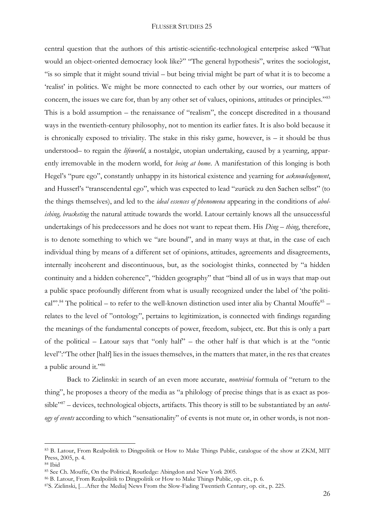central question that the authors of this artistic-scientific-technological enterprise asked "What would an object-oriented democracy look like?" "The general hypothesis", writes the sociologist, "is so simple that it might sound trivial – but being trivial might be part of what it is to become a 'realist' in politics. We might be more connected to each other by our worries, our matters of concern, the issues we care for, than by any other set of values, opinions, attitudes or principles."<sup>83</sup> This is a bold assumption – the renaissance of "realism", the concept discredited in a thousand ways in the twentieth-century philosophy, not to mention its earlier fates. It is also bold because it is chronically exposed to triviality. The stake in this risky game, however, is – it should be thus understood– to regain the *lifeworld*, a nostalgic, utopian undertaking, caused by a yearning, apparently irremovable in the modern world, for *being at home*. A manifestation of this longing is both Hegel's "pure ego", constantly unhappy in its historical existence and yearning for *acknowledgement*, and Husserl's "transcendental ego", which was expected to lead "zurück zu den Sachen selbst" (to the things themselves), and led to the *ideal essences of phenomena* appearing in the conditions of *abolishing, bracketing* the natural attitude towards the world. Latour certainly knows all the unsuccessful undertakings of his predecessors and he does not want to repeat them. His *Ding* – *thing*, therefore, is to denote something to which we "are bound", and in many ways at that, in the case of each individual thing by means of a different set of opinions, attitudes, agreements and disagreements, internally incoherent and discontinuous, but, as the sociologist thinks, connected by "a hidden continuity and a hidden coherence", "hidden geography" that "bind all of us in ways that map out a public space profoundly different from what is usually recognized under the label of 'the political"<sup>28</sup>.<sup>84</sup> The political – to refer to the well-known distinction used inter alia by Chantal Mouffe<sup>85</sup> relates to the level of "ontology", pertains to legitimization, is connected with findings regarding the meanings of the fundamental concepts of power, freedom, subject, etc. But this is only a part of the political – Latour says that "only half" – the other half is that which is at the "ontic level":"The other [half] lies in the issues themselves, in the matters that mater, in the res that creates a public around it."<sup>86</sup>

Back to Zielinski: in search of an even more accurate, *nontrivial* formula of "return to the thing", he proposes a theory of the media as "a philology of precise things that is as exact as possible"<sup>87</sup> – devices, technological objects, artifacts. This theory is still to be substantiated by an *ontology of events* according to which "sensationality" of events is not mute or, in other words, is not non-

<sup>83</sup> B. Latour, From Realpolitik to Dingpolitik or How to Make Things Public, catalogue of the show at ZKM, MIT Press, 2005, p. 4.

<sup>84</sup> Ibid

<sup>85</sup> See Ch. Mouffe, On the Political, Routledge: Abingdon and New York 2005.

<sup>86</sup> B. Latour, From Realpolitik to Dingpolitik or How to Make Things Public, op. cit., p. 6.

<sup>87</sup>S. Zielinski, […After the Media] News From the Slow-Fading Twentieth Century, op. cit., p. 225.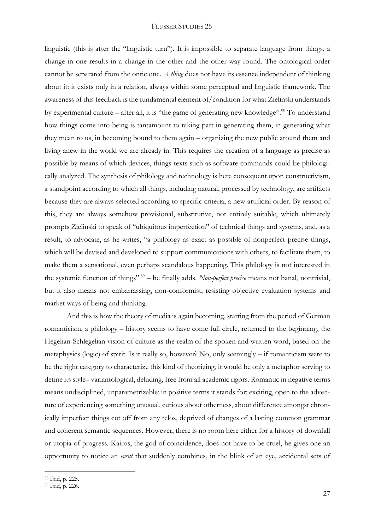linguistic (this is after the "linguistic turn"). It is impossible to separate language from things, a change in one results in a change in the other and the other way round. The ontological order cannot be separated from the ontic one. *A thing* does not have its essence independent of thinking about it: it exists only in a relation, always within some perceptual and linguistic framework. The awareness of this feedback is the fundamental element of/condition for what Zielinski understands by experimental culture – after all, it is "the game of generating new knowledge".<sup>88</sup> To understand how things come into being is tantamount to taking part in generating them, in generating what they mean to us, in becoming bound to them again – organizing the new public around them and living anew in the world we are already in. This requires the creation of a language as precise as possible by means of which devices, things-texts such as software commands could be philologically analyzed. The synthesis of philology and technology is here consequent upon constructivism, a standpoint according to which all things, including natural, processed by technology, are artifacts because they are always selected according to specific criteria, a new artificial order. By reason of this, they are always somehow provisional, substitutive, not entirely suitable, which ultimately prompts Zielinski to speak of "ubiquitous imperfection" of technical things and systems, and, as a result, to advocate, as he writes, "a philology as exact as possible of nonperfect precise things, which will be devised and developed to support communications with others, to facilitate them, to make them a sensational, even perhaps scandalous happening. This philology is not interested in the systemic function of things" <sup>89</sup> – he finally adds. *Non-perfect precise* means not banal, nontrivial, but it also means not embarrassing, non-conformist, resisting objective evaluation systems and market ways of being and thinking.

And this is how the theory of media is again becoming, starting from the period of German romanticism, a philology – history seems to have come full circle, returned to the beginning, the Hegelian-Schlegelian vision of culture as the realm of the spoken and written word, based on the metaphysics (logic) of spirit. Is it really so, however? No, only seemingly – if romanticism were to be the right category to characterize this kind of theorizing, it would be only a metaphor serving to define its style– variantological, deluding, free from all academic rigors. Romantic in negative terms means undisciplined, unparametrizable; in positive terms it stands for: exciting, open to the adventure of experiencing something unusual, curious about otherness, about difference amongst chronically imperfect things cut off from any telos, deprived of changes of a lasting common grammar and coherent semantic sequences. However, there is no room here either for a history of downfall or utopia of progress. Kairos, the god of coincidence, does not have to be cruel, he gives one an opportunity to notice an *event* that suddenly combines, in the blink of an eye, accidental sets of

<sup>88</sup> Ibid, p. 225.

<sup>89</sup> Ibid, p. 226.